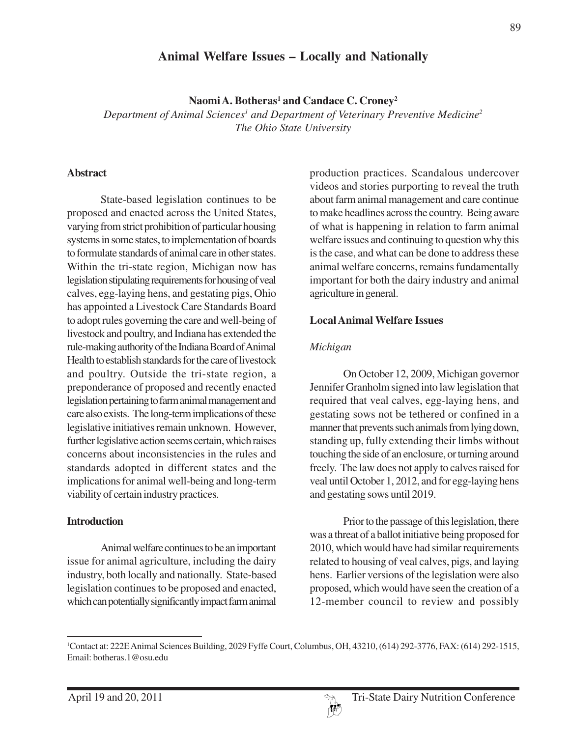# **Animal Welfare Issues – Locally and Nationally**

 $\bf N$ aomi $\bf A$ . Botheras<sup>1</sup> and Candace C. Croney<sup>2</sup>

Department of Animal Sciences<sup>1</sup> and Department of Veterinary Preventive Medicine<sup>2</sup> *The Ohio State University*

#### **Abstract**

State-based legislation continues to be proposed and enacted across the United States, varying from strict prohibition of particular housing systems in some states, to implementation of boards to formulate standards of animal care in other states. Within the tri-state region, Michigan now has legislation stipulating requirements for housing of veal calves, egg-laying hens, and gestating pigs, Ohio has appointed a Livestock Care Standards Board to adopt rules governing the care and well-being of livestock and poultry, and Indiana has extended the rule-making authority of the Indiana Board of Animal Health to establish standards for the care of livestock and poultry. Outside the tri-state region, a preponderance of proposed and recently enacted legislation pertaining to farm animal management and care also exists. The long-term implications of these legislative initiatives remain unknown. However, further legislative action seems certain, which raises concerns about inconsistencies in the rules and standards adopted in different states and the implications for animal well-being and long-term viability of certain industry practices.

#### **Introduction**

Animal welfare continues to be an important issue for animal agriculture, including the dairy industry, both locally and nationally. State-based legislation continues to be proposed and enacted, which can potentially significantly impact farm animal

production practices. Scandalous undercover videos and stories purporting to reveal the truth about farm animal management and care continue to make headlines across the country. Being aware of what is happening in relation to farm animal welfare issues and continuing to question why this is the case, and what can be done to address these animal welfare concerns, remains fundamentally important for both the dairy industry and animal agriculture in general.

#### **Local Animal Welfare Issues**

#### *Michigan*

On October 12, 2009, Michigan governor Jennifer Granholm signed into law legislation that required that veal calves, egg-laying hens, and gestating sows not be tethered or confined in a manner that prevents such animals from lying down, standing up, fully extending their limbs without touching the side of an enclosure, or turning around freely. The law does not apply to calves raised for veal until October 1, 2012, and for egg-laying hens and gestating sows until 2019.

Prior to the passage of this legislation, there was a threat of a ballot initiative being proposed for 2010, which would have had similar requirements related to housing of veal calves, pigs, and laying hens. Earlier versions of the legislation were also proposed, which would have seen the creation of a 12-member council to review and possibly

<sup>1</sup> Contact at: 222E Animal Sciences Building, 2029 Fyffe Court, Columbus, OH, 43210, (614) 292-3776, FAX: (614) 292-1515, Email: botheras.1@osu.edu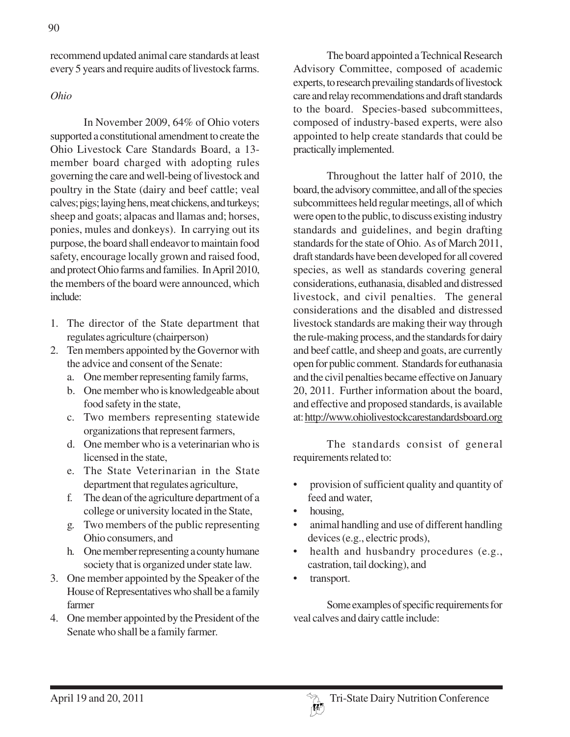recommend updated animal care standards at least every 5 years and require audits of livestock farms.

### *Ohio*

In November 2009, 64% of Ohio voters supported a constitutional amendment to create the Ohio Livestock Care Standards Board, a 13 member board charged with adopting rules governing the care and well-being of livestock and poultry in the State (dairy and beef cattle; veal calves; pigs; laying hens, meat chickens, and turkeys; sheep and goats; alpacas and llamas and; horses, ponies, mules and donkeys). In carrying out its purpose, the board shall endeavor to maintain food safety, encourage locally grown and raised food, and protect Ohio farms and families. In April 2010, the members of the board were announced, which include:

- 1. The director of the State department that regulates agriculture (chairperson)
- 2. Ten members appointed by the Governor with the advice and consent of the Senate:
	- a. One member representing family farms,
	- b. One member who is knowledgeable about food safety in the state,
	- c. Two members representing statewide organizations that represent farmers,
	- d. One member who is a veterinarian who is licensed in the state,
	- e. The State Veterinarian in the State department that regulates agriculture,
	- f. The dean of the agriculture department of a college or university located in the State,
	- g. Two members of the public representing Ohio consumers, and
	- h. One member representing a county humane society that is organized under state law.
- 3. One member appointed by the Speaker of the House of Representatives who shall be a family farmer
- 4. One member appointed by the President of the Senate who shall be a family farmer.

The board appointed a Technical Research Advisory Committee, composed of academic experts, to research prevailing standards of livestock care and relay recommendations and draft standards to the board. Species-based subcommittees, composed of industry-based experts, were also appointed to help create standards that could be practically implemented.

Throughout the latter half of 2010, the board, the advisory committee, and all of the species subcommittees held regular meetings, all of which were open to the public, to discuss existing industry standards and guidelines, and begin drafting standards for the state of Ohio. As of March 2011, draft standards have been developed for all covered species, as well as standards covering general considerations, euthanasia, disabled and distressed livestock, and civil penalties. The general considerations and the disabled and distressed livestock standards are making their way through the rule-making process, and the standards for dairy and beef cattle, and sheep and goats, are currently open for public comment. Standards for euthanasia and the civil penalties became effective on January 20, 2011. Further information about the board, and effective and proposed standards, is available at: http://www.ohiolivestockcarestandardsboard.org

The standards consist of general requirements related to:

- provision of sufficient quality and quantity of feed and water,
- housing,
- animal handling and use of different handling devices (e.g., electric prods),
- health and husbandry procedures (e.g., castration, tail docking), and
- transport.

Some examples of specific requirements for veal calves and dairy cattle include:

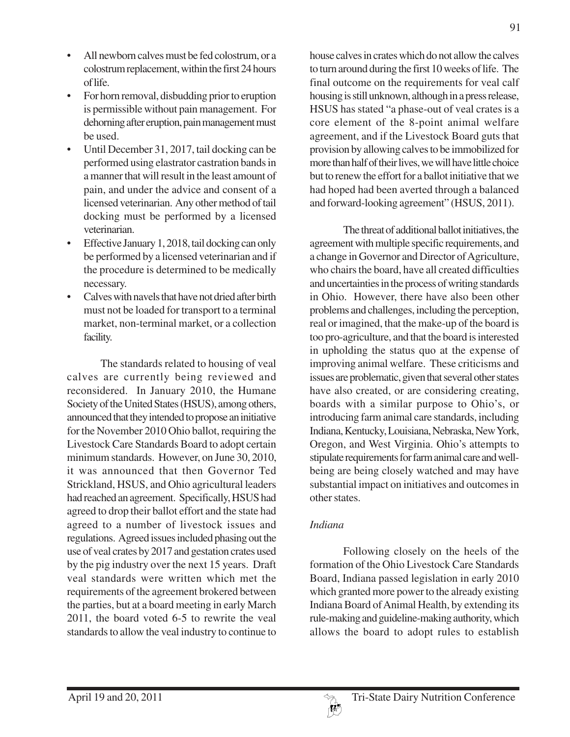- All newborn calves must be fed colostrum, or a colostrum replacement, within the first 24 hours of life.
- For horn removal, disbudding prior to eruption is permissible without pain management. For dehorning after eruption, pain management must be used.
- Until December 31, 2017, tail docking can be performed using elastrator castration bands in a manner that will result in the least amount of pain, and under the advice and consent of a licensed veterinarian. Any other method of tail docking must be performed by a licensed veterinarian.
- Effective January 1, 2018, tail docking can only be performed by a licensed veterinarian and if the procedure is determined to be medically necessary.
- Calves with navels that have not dried after birth must not be loaded for transport to a terminal market, non-terminal market, or a collection facility.

The standards related to housing of veal calves are currently being reviewed and reconsidered. In January 2010, the Humane Society of the United States (HSUS), among others, announced that they intended to propose an initiative for the November 2010 Ohio ballot, requiring the Livestock Care Standards Board to adopt certain minimum standards. However, on June 30, 2010, it was announced that then Governor Ted Strickland, HSUS, and Ohio agricultural leaders had reached an agreement. Specifically, HSUS had agreed to drop their ballot effort and the state had agreed to a number of livestock issues and regulations. Agreed issues included phasing out the use of veal crates by 2017 and gestation crates used by the pig industry over the next 15 years. Draft veal standards were written which met the requirements of the agreement brokered between the parties, but at a board meeting in early March 2011, the board voted 6-5 to rewrite the veal standards to allow the veal industry to continue to

house calves in crates which do not allow the calves to turn around during the first 10 weeks of life. The final outcome on the requirements for veal calf housing is still unknown, although in a press release, HSUS has stated "a phase-out of veal crates is a core element of the 8-point animal welfare agreement, and if the Livestock Board guts that provision by allowing calves to be immobilized for more than half of their lives, we will have little choice but to renew the effort for a ballot initiative that we had hoped had been averted through a balanced and forward-looking agreement" (HSUS, 2011).

The threat of additional ballot initiatives, the agreement with multiple specific requirements, and a change in Governor and Director of Agriculture, who chairs the board, have all created difficulties and uncertainties in the process of writing standards in Ohio. However, there have also been other problems and challenges, including the perception, real or imagined, that the make-up of the board is too pro-agriculture, and that the board is interested in upholding the status quo at the expense of improving animal welfare. These criticisms and issues are problematic, given that several other states have also created, or are considering creating, boards with a similar purpose to Ohio's, or introducing farm animal care standards, including Indiana, Kentucky, Louisiana, Nebraska, New York, Oregon, and West Virginia. Ohio's attempts to stipulate requirements for farm animal care and wellbeing are being closely watched and may have substantial impact on initiatives and outcomes in other states.

## *Indiana*

Following closely on the heels of the formation of the Ohio Livestock Care Standards Board, Indiana passed legislation in early 2010 which granted more power to the already existing Indiana Board of Animal Health, by extending its rule-making and guideline-making authority, which allows the board to adopt rules to establish

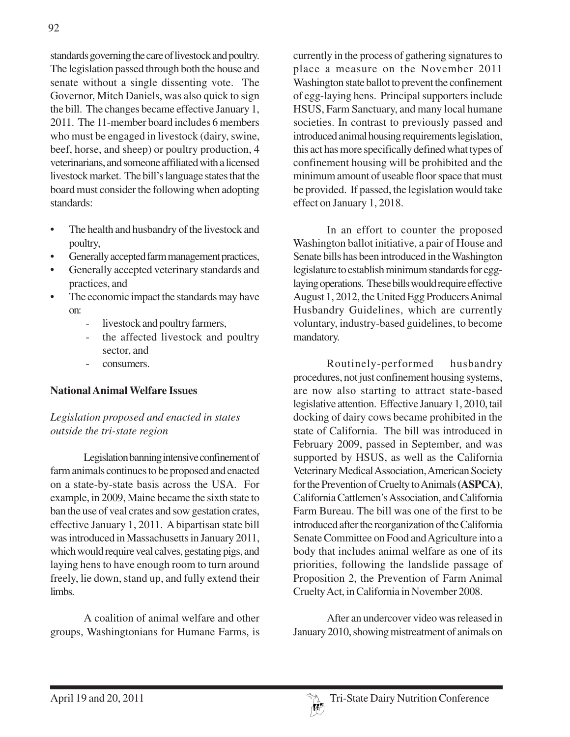standards governing the care of livestock and poultry. The legislation passed through both the house and senate without a single dissenting vote. The Governor, Mitch Daniels, was also quick to sign the bill. The changes became effective January 1, 2011. The 11-member board includes 6 members who must be engaged in livestock (dairy, swine, beef, horse, and sheep) or poultry production, 4 veterinarians, and someone affiliated with a licensed livestock market. The bill's language states that the board must consider the following when adopting standards:

- The health and husbandry of the livestock and poultry,
- Generally accepted farm management practices,
- Generally accepted veterinary standards and practices, and
- The economic impact the standards may have on:
	- livestock and poultry farmers,
	- the affected livestock and poultry sector, and
	- consumers.

## **National Animal Welfare Issues**

# *Legislation proposed and enacted in states outside the tri-state region*

Legislation banning intensive confinement of farm animals continues to be proposed and enacted on a state-by-state basis across the USA. For example, in 2009, Maine became the sixth state to ban the use of veal crates and sow gestation crates, effective January 1, 2011. A bipartisan state bill was introduced in Massachusetts in January 2011, which would require veal calves, gestating pigs, and laying hens to have enough room to turn around freely, lie down, stand up, and fully extend their limbs.

A coalition of animal welfare and other groups, Washingtonians for Humane Farms, is currently in the process of gathering signatures to place a measure on the November 2011 Washington state ballot to prevent the confinement of egg-laying hens. Principal supporters include HSUS, Farm Sanctuary, and many local humane societies. In contrast to previously passed and introduced animal housing requirements legislation, this act has more specifically defined what types of confinement housing will be prohibited and the minimum amount of useable floor space that must be provided. If passed, the legislation would take effect on January 1, 2018.

In an effort to counter the proposed Washington ballot initiative, a pair of House and Senate bills has been introduced in the Washington legislature to establish minimum standards for egglaying operations. These bills would require effective August 1, 2012, the United Egg Producers Animal Husbandry Guidelines, which are currently voluntary, industry-based guidelines, to become mandatory.

Routinely-performed husbandry procedures, not just confinement housing systems, are now also starting to attract state-based legislative attention. Effective January 1, 2010, tail docking of dairy cows became prohibited in the state of California. The bill was introduced in February 2009, passed in September, and was supported by HSUS, as well as the California Veterinary Medical Association, American Society for the Prevention of Cruelty to Animals **(ASPCA)**, California Cattlemen's Association, and California Farm Bureau. The bill was one of the first to be introduced after the reorganization of the California Senate Committee on Food and Agriculture into a body that includes animal welfare as one of its priorities, following the landslide passage of Proposition 2, the Prevention of Farm Animal Cruelty Act, in California in November 2008.

After an undercover video was released in January 2010, showing mistreatment of animals on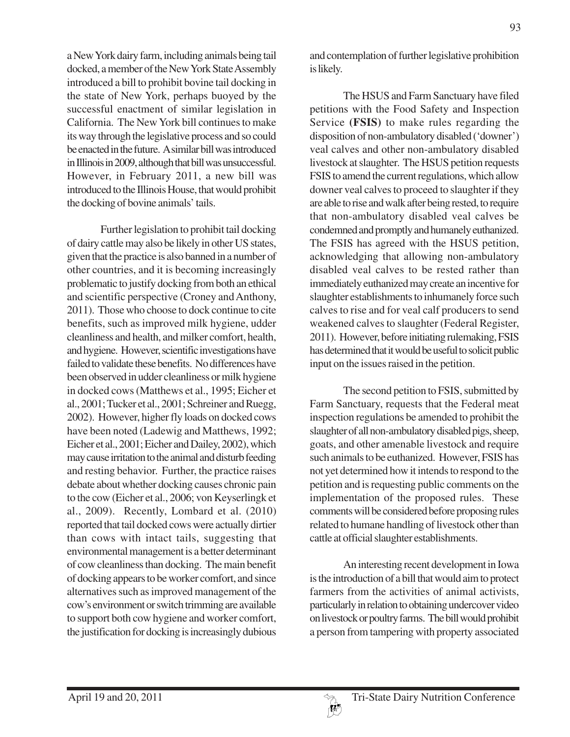a New York dairy farm, including animals being tail docked, a member of the New York State Assembly introduced a bill to prohibit bovine tail docking in the state of New York, perhaps buoyed by the successful enactment of similar legislation in California. The New York bill continues to make its way through the legislative process and so could be enacted in the future. A similar bill was introduced in Illinois in 2009, although that bill was unsuccessful. However, in February 2011, a new bill was introduced to the Illinois House, that would prohibit the docking of bovine animals' tails.

Further legislation to prohibit tail docking of dairy cattle may also be likely in other US states, given that the practice is also banned in a number of other countries, and it is becoming increasingly problematic to justify docking from both an ethical and scientific perspective (Croney and Anthony, 2011). Those who choose to dock continue to cite benefits, such as improved milk hygiene, udder cleanliness and health, and milker comfort, health, and hygiene. However, scientific investigations have failed to validate these benefits. No differences have been observed in udder cleanliness or milk hygiene in docked cows (Matthews et al., 1995; Eicher et al., 2001; Tucker et al., 2001; Schreiner and Ruegg, 2002). However, higher fly loads on docked cows have been noted (Ladewig and Matthews, 1992; Eicher et al., 2001; Eicher and Dailey, 2002), which may cause irritation to the animal and disturb feeding and resting behavior. Further, the practice raises debate about whether docking causes chronic pain to the cow (Eicher et al., 2006; von Keyserlingk et al., 2009). Recently, Lombard et al. (2010) reported that tail docked cows were actually dirtier than cows with intact tails, suggesting that environmental management is a better determinant of cow cleanliness than docking. The main benefit of docking appears to be worker comfort, and since alternatives such as improved management of the cow's environment or switch trimming are available to support both cow hygiene and worker comfort, the justification for docking is increasingly dubious

and contemplation of further legislative prohibition is likely.

The HSUS and Farm Sanctuary have filed petitions with the Food Safety and Inspection Service **(FSIS)** to make rules regarding the disposition of non-ambulatory disabled ('downer') veal calves and other non-ambulatory disabled livestock at slaughter. The HSUS petition requests FSIS to amend the current regulations, which allow downer veal calves to proceed to slaughter if they are able to rise and walk after being rested, to require that non-ambulatory disabled veal calves be condemned and promptly and humanely euthanized. The FSIS has agreed with the HSUS petition, acknowledging that allowing non-ambulatory disabled veal calves to be rested rather than immediately euthanized may create an incentive for slaughter establishments to inhumanely force such calves to rise and for veal calf producers to send weakened calves to slaughter (Federal Register, 2011). However, before initiating rulemaking, FSIS has determined that it would be useful to solicit public input on the issues raised in the petition.

The second petition to FSIS, submitted by Farm Sanctuary, requests that the Federal meat inspection regulations be amended to prohibit the slaughter of all non-ambulatory disabled pigs, sheep, goats, and other amenable livestock and require such animals to be euthanized. However, FSIS has not yet determined how it intends to respond to the petition and is requesting public comments on the implementation of the proposed rules. These comments will be considered before proposing rules related to humane handling of livestock other than cattle at official slaughter establishments.

An interesting recent development in Iowa is the introduction of a bill that would aim to protect farmers from the activities of animal activists, particularly in relation to obtaining undercover video on livestock or poultry farms. The bill would prohibit a person from tampering with property associated

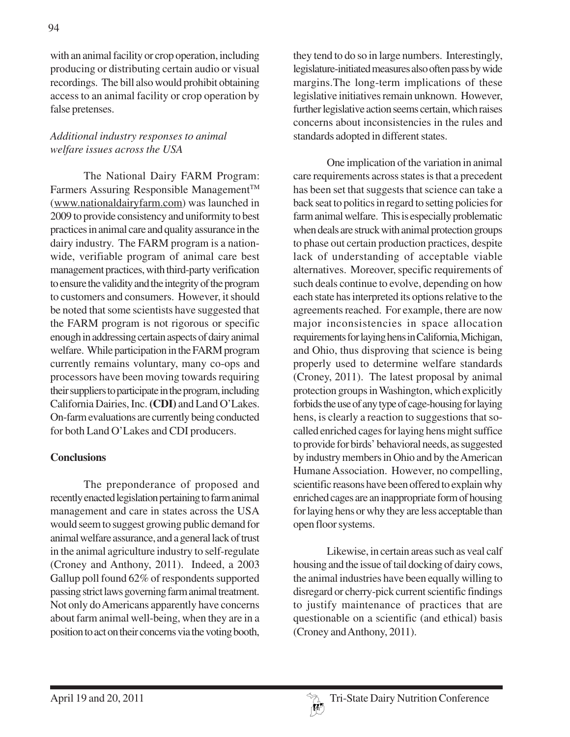with an animal facility or crop operation, including producing or distributing certain audio or visual recordings. The bill also would prohibit obtaining access to an animal facility or crop operation by false pretenses.

## *Additional industry responses to animal welfare issues across the USA*

The National Dairy FARM Program: Farmers Assuring Responsible Management™ (www.nationaldairyfarm.com) was launched in 2009 to provide consistency and uniformity to best practices in animal care and quality assurance in the dairy industry. The FARM program is a nationwide, verifiable program of animal care best management practices, with third-party verification to ensure the validity and the integrity of the program to customers and consumers. However, it should be noted that some scientists have suggested that the FARM program is not rigorous or specific enough in addressing certain aspects of dairy animal welfare. While participation in the FARM program currently remains voluntary, many co-ops and processors have been moving towards requiring their suppliers to participate in the program, including California Dairies, Inc. **(CDI)** and Land O'Lakes. On-farm evaluations are currently being conducted for both Land O'Lakes and CDI producers.

## **Conclusions**

The preponderance of proposed and recently enacted legislation pertaining to farm animal management and care in states across the USA would seem to suggest growing public demand for animal welfare assurance, and a general lack of trust in the animal agriculture industry to self-regulate (Croney and Anthony, 2011). Indeed, a 2003 Gallup poll found 62% of respondents supported passing strict laws governing farm animal treatment. Not only do Americans apparently have concerns about farm animal well-being, when they are in a position to act on their concerns via the voting booth,

they tend to do so in large numbers. Interestingly, legislature-initiated measures also often pass by wide margins.The long-term implications of these legislative initiatives remain unknown. However, further legislative action seems certain, which raises concerns about inconsistencies in the rules and standards adopted in different states.

One implication of the variation in animal care requirements across states is that a precedent has been set that suggests that science can take a back seat to politics in regard to setting policies for farm animal welfare. This is especially problematic when deals are struck with animal protection groups to phase out certain production practices, despite lack of understanding of acceptable viable alternatives. Moreover, specific requirements of such deals continue to evolve, depending on how each state has interpreted its options relative to the agreements reached. For example, there are now major inconsistencies in space allocation requirements for laying hens in California, Michigan, and Ohio, thus disproving that science is being properly used to determine welfare standards (Croney, 2011). The latest proposal by animal protection groups in Washington, which explicitly forbids the use of any type of cage-housing for laying hens, is clearly a reaction to suggestions that socalled enriched cages for laying hens might suffice to provide for birds' behavioral needs, as suggested by industry members in Ohio and by the American Humane Association. However, no compelling, scientific reasons have been offered to explain why enriched cages are an inappropriate form of housing for laying hens or why they are less acceptable than open floor systems.

Likewise, in certain areas such as veal calf housing and the issue of tail docking of dairy cows, the animal industries have been equally willing to disregard or cherry-pick current scientific findings to justify maintenance of practices that are questionable on a scientific (and ethical) basis (Croney and Anthony, 2011).